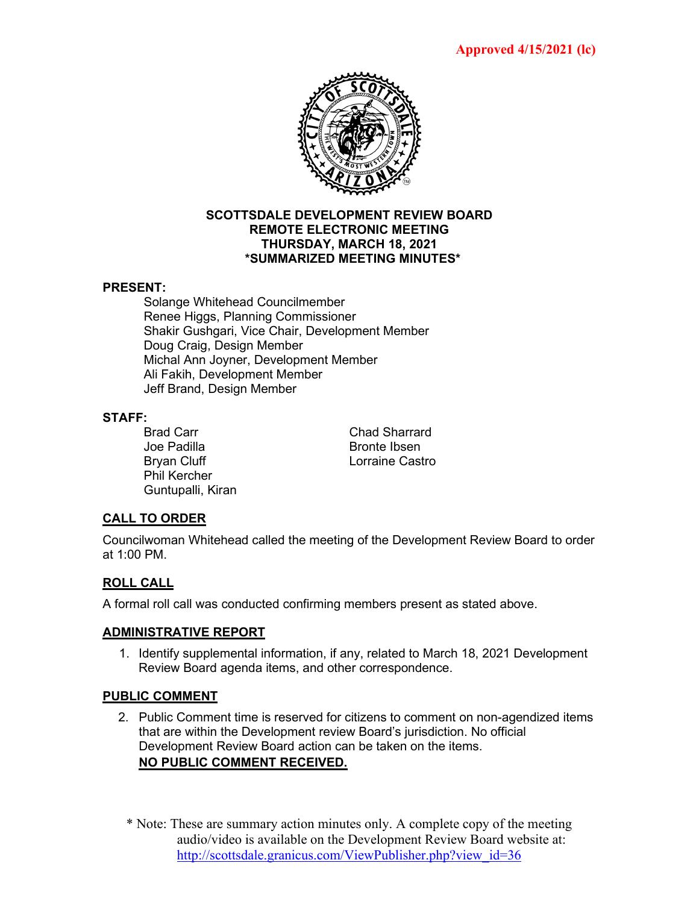

#### **SCOTTSDALE DEVELOPMENT REVIEW BOARD REMOTE ELECTRONIC MEETING THURSDAY, MARCH 18, 2021 \*SUMMARIZED MEETING MINUTES\***

#### **PRESENT:**

Solange Whitehead Councilmember Renee Higgs, Planning Commissioner Shakir Gushgari, Vice Chair, Development Member Doug Craig, Design Member Michal Ann Joyner, Development Member Ali Fakih, Development Member Jeff Brand, Design Member

#### **STAFF:**

Joe Padilla and Bronte Ibsen Bryan Cluff **Lorraine Castro** Phil Kercher Guntupalli, Kiran

Brad Carr Chad Sharrard

# **CALL TO ORDER**

Councilwoman Whitehead called the meeting of the Development Review Board to order at 1:00 PM.

# **ROLL CALL**

A formal roll call was conducted confirming members present as stated above.

# **ADMINISTRATIVE REPORT**

1. Identify supplemental information, if any, related to March 18, 2021 Development Review Board agenda items, and other correspondence.

# **PUBLIC COMMENT**

- 2. Public Comment time is reserved for citizens to comment on non-agendized items that are within the Development review Board's jurisdiction. No official Development Review Board action can be taken on the items. **NO PUBLIC COMMENT RECEIVED.**
	- \* Note: These are summary action minutes only. A complete copy of the meeting audio/video is available on the Development Review Board website at: [http://scottsdale.granicus.com/ViewPublisher.php?view\\_id=36](http://scottsdale.granicus.com/ViewPublisher.php?view_id=36)